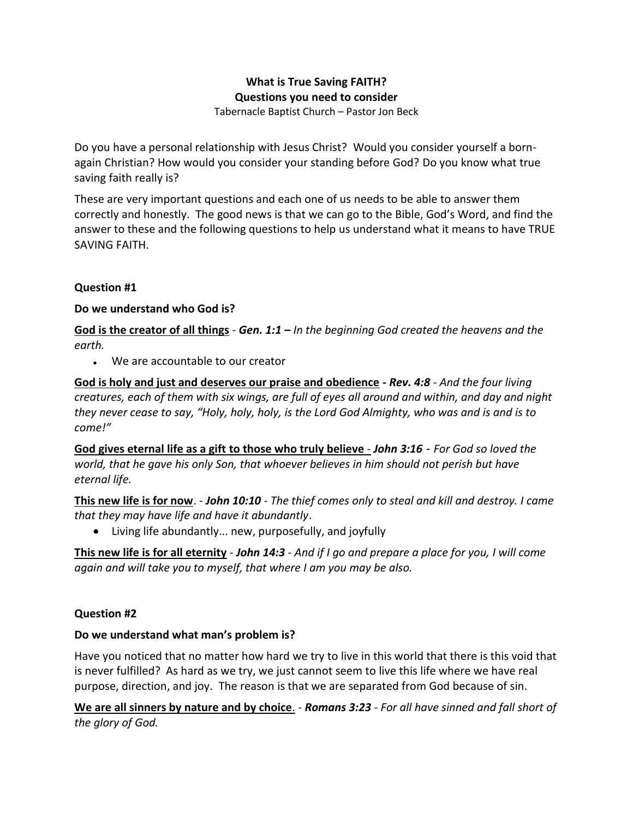# **What is True Saving FAITH? Questions you need to consider**

Tabernacle Baptist Church – Pastor Jon Beck

Do you have a personal relationship with Jesus Christ? Would you consider yourself a bornagain Christian? How would you consider your standing before God? Do you know what true saving faith really is?

These are very important questions and each one of us needs to be able to answer them correctly and honestly. The good news is that we can go to the Bible, God's Word, and find the answer to these and the following questions to help us understand what it means to have TRUE SAVING FAITH.

## **Question #1**

## **Do we understand who God is?**

**God is the creator of all things** - *Gen. 1:1 – In the beginning God created the heavens and the earth.*

• We are accountable to our creator

**God is holy and just and deserves our praise and obedience** *- Rev. 4:8 - And the four living creatures, each of them with six wings, are full of eyes all around and within, and day and night they never cease to say, "Holy, holy, holy, is the Lord God Almighty, who was and is and is to come!"*

**God gives eternal life as a gift to those who truly believe** - *John 3:16 - For God so loved the world, that he gave his only Son, that whoever believes in him should not perish but have eternal life.*

**This new life is for now**. - *John 10:10 - The thief comes only to steal and kill and destroy. I came that they may have life and have it abundantly*.

• Living life abundantly... new, purposefully, and joyfully

**This new life is for all eternity** - *John 14:3 - And if I go and prepare a place for you, I will come again and will take you to myself, that where I am you may be also.*

# **Question #2**

# **Do we understand what man's problem is?**

Have you noticed that no matter how hard we try to live in this world that there is this void that is never fulfilled? As hard as we try, we just cannot seem to live this life where we have real purpose, direction, and joy. The reason is that we are separated from God because of sin.

**We are all sinners by nature and by choice**. - *Romans 3:23 - For all have sinned and fall short of the glory of God.*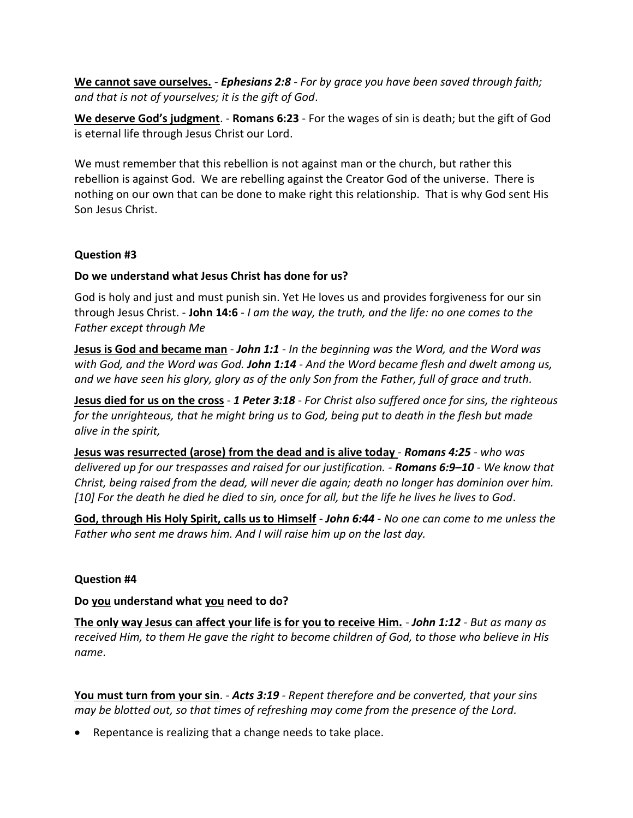**We cannot save ourselves.** - *Ephesians 2:8 - For by grace you have been saved through faith; and that is not of yourselves; it is the gift of God*.

**We deserve God's judgment**. - **Romans 6:23** - For the wages of sin is death; but the gift of God is eternal life through Jesus Christ our Lord.

We must remember that this rebellion is not against man or the church, but rather this rebellion is against God. We are rebelling against the Creator God of the universe. There is nothing on our own that can be done to make right this relationship. That is why God sent His Son Jesus Christ.

## **Question #3**

## **Do we understand what Jesus Christ has done for us?**

God is holy and just and must punish sin. Yet He loves us and provides forgiveness for our sin through Jesus Christ. - **John 14:6** - *I am the way, the truth, and the life: no one comes to the Father except through Me*

**Jesus is God and became man** - *John 1:1 - In the beginning was the Word, and the Word was with God, and the Word was God. John 1:14 - And the Word became flesh and dwelt among us, and we have seen his glory, glory as of the only Son from the Father, full of grace and truth.*

**Jesus died for us on the cross** - *1 Peter 3:18 - For Christ also suffered once for sins, the righteous for the unrighteous, that he might bring us to God, being put to death in the flesh but made alive in the spirit,*

**Jesus was resurrected (arose) from the dead and is alive today** - *Romans 4:25 - who was delivered up for our trespasses and raised for our justification. - Romans 6:9–10 - We know that Christ, being raised from the dead, will never die again; death no longer has dominion over him. [10] For the death he died he died to sin, once for all, but the life he lives he lives to God*.

**God, through His Holy Spirit, calls us to Himself** - *John 6:44 - No one can come to me unless the Father who sent me draws him. And I will raise him up on the last day.*

#### **Question #4**

#### **Do you understand what you need to do?**

**The only way Jesus can affect your life is for you to receive Him.** - *John 1:12 - But as many as received Him, to them He gave the right to become children of God, to those who believe in His name*.

**You must turn from your sin**. - *Acts 3:19 - Repent therefore and be converted, that your sins may be blotted out, so that times of refreshing may come from the presence of the Lord.*

• Repentance is realizing that a change needs to take place.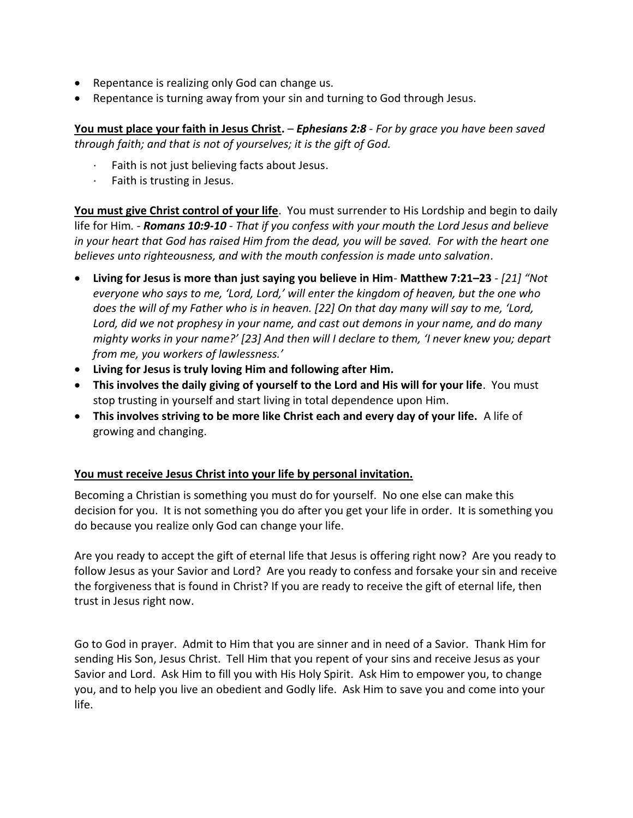- Repentance is realizing only God can change us.
- Repentance is turning away from your sin and turning to God through Jesus.

**You must place your faith in Jesus Christ.** – *Ephesians 2:8 - For by grace you have been saved through faith; and that is not of yourselves; it is the gift of God.*

- Faith is not just believing facts about Jesus.
- · Faith is trusting in Jesus.

**You must give Christ control of your life**. You must surrender to His Lordship and begin to daily life for Him*. - Romans 10:9-10 - That if you confess with your mouth the Lord Jesus and believe in your heart that God has raised Him from the dead, you will be saved. For with the heart one believes unto righteousness, and with the mouth confession is made unto salvation*.

- **Living for Jesus is more than just saying you believe in Him Matthew 7:21–23** *[21] "Not everyone who says to me, 'Lord, Lord,' will enter the kingdom of heaven, but the one who does the will of my Father who is in heaven. [22] On that day many will say to me, 'Lord, Lord, did we not prophesy in your name, and cast out demons in your name, and do many mighty works in your name?' [23] And then will I declare to them, 'I never knew you; depart from me, you workers of lawlessness.'*
- **Living for Jesus is truly loving Him and following after Him.**
- **This involves the daily giving of yourself to the Lord and His will for your life**. You must stop trusting in yourself and start living in total dependence upon Him.
- **This involves striving to be more like Christ each and every day of your life.** A life of growing and changing.

# **You must receive Jesus Christ into your life by personal invitation.**

Becoming a Christian is something you must do for yourself. No one else can make this decision for you. It is not something you do after you get your life in order. It is something you do because you realize only God can change your life.

Are you ready to accept the gift of eternal life that Jesus is offering right now? Are you ready to follow Jesus as your Savior and Lord? Are you ready to confess and forsake your sin and receive the forgiveness that is found in Christ? If you are ready to receive the gift of eternal life, then trust in Jesus right now.

Go to God in prayer. Admit to Him that you are sinner and in need of a Savior. Thank Him for sending His Son, Jesus Christ. Tell Him that you repent of your sins and receive Jesus as your Savior and Lord. Ask Him to fill you with His Holy Spirit. Ask Him to empower you, to change you, and to help you live an obedient and Godly life. Ask Him to save you and come into your life.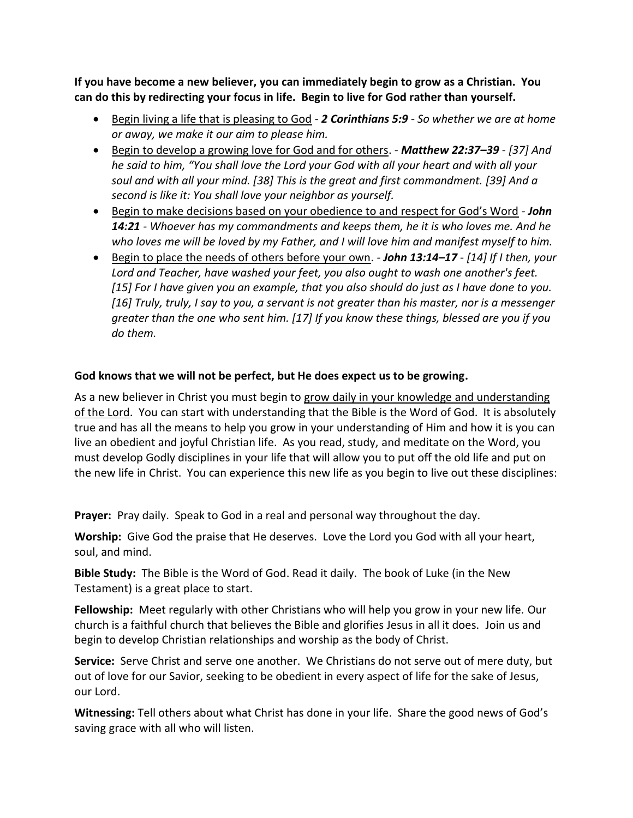**If you have become a new believer, you can immediately begin to grow as a Christian. You can do this by redirecting your focus in life. Begin to live for God rather than yourself.**

- Begin living a life that is pleasing to God *2 Corinthians 5:9 - So whether we are at home or away, we make it our aim to please him.*
- Begin to develop a growing love for God and for others. *Matthew 22:37–39 - [37] And he said to him, "You shall love the Lord your God with all your heart and with all your soul and with all your mind. [38] This is the great and first commandment. [39] And a second is like it: You shall love your neighbor as yourself.*
- Begin to make decisions based on your obedience to and respect for God's Word *John 14:21 - Whoever has my commandments and keeps them, he it is who loves me. And he who loves me will be loved by my Father, and I will love him and manifest myself to him.*
- Begin to place the needs of others before your own. *John 13:14–17 - [14] If I then, your Lord and Teacher, have washed your feet, you also ought to wash one another's feet. [15] For I have given you an example, that you also should do just as I have done to you. [16] Truly, truly, I say to you, a servant is not greater than his master, nor is a messenger greater than the one who sent him. [17] If you know these things, blessed are you if you do them.*

# **God knows that we will not be perfect, but He does expect us to be growing.**

As a new believer in Christ you must begin to grow daily in your knowledge and understanding of the Lord. You can start with understanding that the Bible is the Word of God. It is absolutely true and has all the means to help you grow in your understanding of Him and how it is you can live an obedient and joyful Christian life. As you read, study, and meditate on the Word, you must develop Godly disciplines in your life that will allow you to put off the old life and put on the new life in Christ. You can experience this new life as you begin to live out these disciplines:

**Prayer:** Pray daily. Speak to God in a real and personal way throughout the day.

**Worship:** Give God the praise that He deserves. Love the Lord you God with all your heart, soul, and mind.

**Bible Study:** The Bible is the Word of God. Read it daily. The book of Luke (in the New Testament) is a great place to start.

**Fellowship:** Meet regularly with other Christians who will help you grow in your new life. Our church is a faithful church that believes the Bible and glorifies Jesus in all it does. Join us and begin to develop Christian relationships and worship as the body of Christ.

**Service:** Serve Christ and serve one another. We Christians do not serve out of mere duty, but out of love for our Savior, seeking to be obedient in every aspect of life for the sake of Jesus, our Lord.

**Witnessing:** Tell others about what Christ has done in your life. Share the good news of God's saving grace with all who will listen.